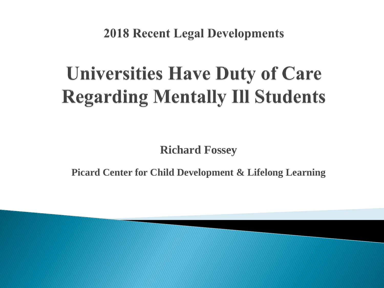**2018 Recent Legal Developments** 

### **Universities Have Duty of Care Regarding Mentally Ill Students**

**Richard Fossey**

**Picard Center for Child Development & Lifelong Learning**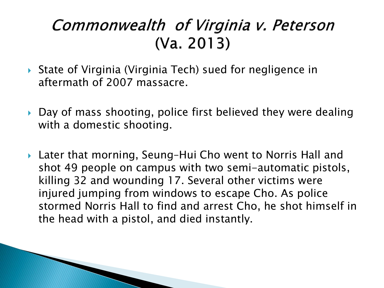#### Commonwealth of Virginia v. Peterson  $(Va. 2013)$

- ▶ State of Virginia (Virginia Tech) sued for negligence in aftermath of 2007 massacre.
- ▶ Day of mass shooting, police first believed they were dealing with a domestic shooting.
- Later that morning, Seung–Hui Cho went to Norris Hall and shot 49 people on campus with two semi-automatic pistols, killing 32 and wounding 17. Several other victims were injured jumping from windows to escape Cho. As police stormed Norris Hall to find and arrest Cho, he shot himself in the head with a pistol, and died instantly.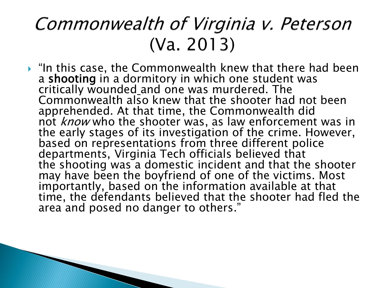#### Commonwealth of Virginia v. Peterson  $(Va. 2013)$

 $\blacktriangleright$  "In this case, the Commonwealth knew that there had been a shooting in a dormitory in which one student was critically wounded and one was murdered. The Commonwealth also knew that the shooter had not been apprehended. At that time, the Commonwealth did not *know* who the shooter was, as law enforcement was in the early stages of its investigation of the crime. However, based on representations from three different police departments, Virginia Tech officials believed that the shooting was a domestic incident and that the shooter may have been the boyfriend of one of the victims. Most importantly, based on the information available at that time, the defendants believed that the shooter had fled the area and posed no danger to others."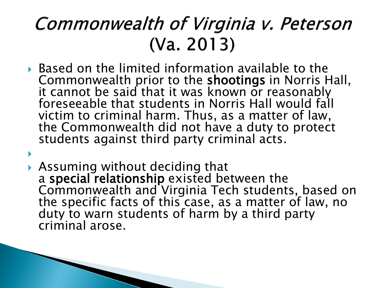#### Commonwealth of Virginia v. Peterson  $(Va. 2013)$

 Based on the limited information available to the Commonwealth prior to the shootings in Norris Hall, it cannot be said that it was known or reasonably foreseeable that students in Norris Hall would fall victim to criminal harm. Thus, as a matter of law, the Commonwealth did not have a duty to protect students against third party criminal acts.

 $\blacktriangleright$ 

 Assuming without deciding that a special relationship existed between the Commonwealth and Virginia Tech students, based on the specific facts of this case, as a matter of law, no duty to warn students of harm by a third party criminal arose.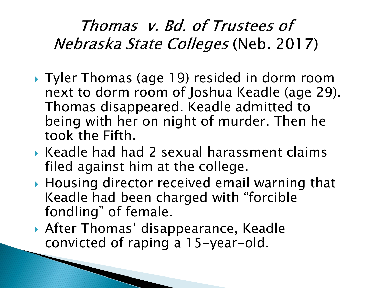#### Thomas v. Bd. of Trustees of Nebraska State Colleges (Neb. 2017)

- ▶ Tyler Thomas (age 19) resided in dorm room next to dorm room of Joshua Keadle (age 29). Thomas disappeared. Keadle admitted to being with her on night of murder. Then he took the Fifth.
- $\blacktriangleright$  Keadle had had 2 sexual harassment claims filed against him at the college.
- ▶ Housing director received email warning that Keadle had been charged with "forcible fondling" of female.
- After Thomas' disappearance, Keadle convicted of raping a 15-year-old.

**The Company of Company of Company**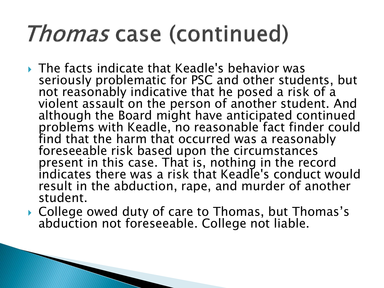## *Thomas* case (continued)

- The facts indicate that Keadle's behavior was seriously problematic for PSC and other students, but not reasonably indicative that he posed a risk of a violent assault on the person of another student. And although the Board might have anticipated continued problems with Keadle, no reasonable fact finder could find that the harm that occurred was a reasonably foreseeable risk based upon the circumstances present in this case. That is, nothing in the record indicates there was a risk that Keadle's conduct would result in the abduction, rape, and murder of another student.
- ▶ College owed duty of care to Thomas, but Thomas's abduction not foreseeable. College not liable.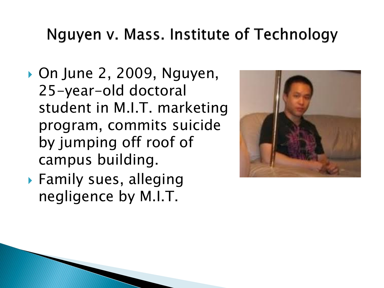#### Nguyen v. Mass. Institute of Technology

- ▶ On June 2, 2009, Nguyen, 25-year-old doctoral student in M.I.T. marketing program, commits suicide by jumping off roof of campus building.
- Family sues, alleging negligence by M.I.T.

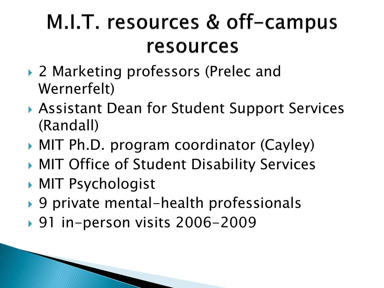### M.I.T. resources & off-campus resources

- ▶ 2 Marketing professors (Prelec and Wernerfelt)
- Assistant Dean for Student Support Services (Randall)
- ▶ MIT Ph.D. program coordinator (Cayley)
- ▶ MIT Office of Student Disability Services
- MIT Psychologist
- ▶ 9 private mental-health professionals
- ▶ 91 in-person visits 2006-2009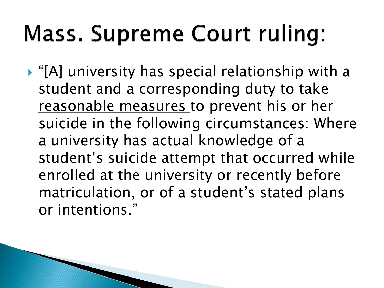# **Mass. Supreme Court ruling:**

 "[A] university has special relationship with a student and a corresponding duty to take reasonable measures to prevent his or her suicide in the following circumstances: Where a university has actual knowledge of a student's suicide attempt that occurred while enrolled at the university or recently before matriculation, or of a student's stated plans or intentions."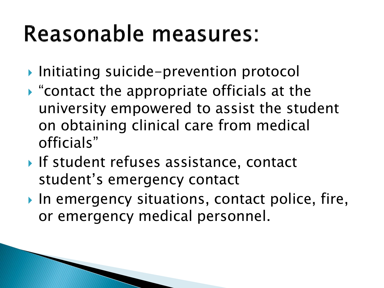## **Reasonable measures:**

- ▶ Initiating suicide-prevention protocol
- "contact the appropriate officials at the university empowered to assist the student on obtaining clinical care from medical officials"
- If student refuses assistance, contact student's emergency contact
- In emergency situations, contact police, fire, or emergency medical personnel.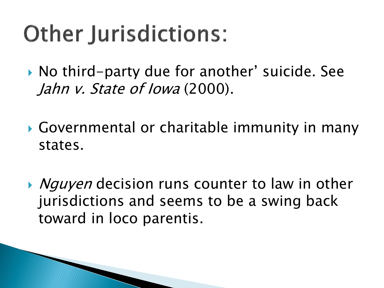# **Other Jurisdictions:**

▶ No third-party due for another' suicide. See Jahn v. State of Iowa (2000).

- Governmental or charitable immunity in many states.
- ▶ *Nguyen* decision runs counter to law in other jurisdictions and seems to be a swing back toward in loco parentis.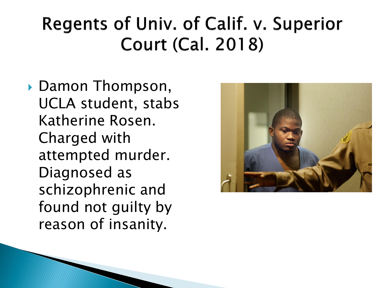#### Regents of Univ. of Calif. v. Superior **Court (Cal. 2018)**

▶ Damon Thompson, UCLA student, stabs Katherine Rosen. Charged with attempted murder. Diagnosed as schizophrenic and found not guilty by reason of insanity.

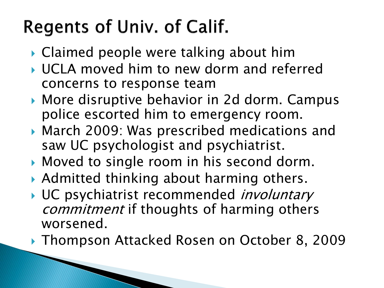### Regents of Univ. of Calif.

- ▶ Claimed people were talking about him
- UCLA moved him to new dorm and referred concerns to response team
- ▶ More disruptive behavior in 2d dorm. Campus police escorted him to emergency room.
- ▶ March 2009: Was prescribed medications and saw UC psychologist and psychiatrist.
- Moved to single room in his second dorm.
- Admitted thinking about harming others.
- UC psychiatrist recommended *involuntary* commitment if thoughts of harming others worsened.
- ▶ Thompson Attacked Rosen on October 8, 2009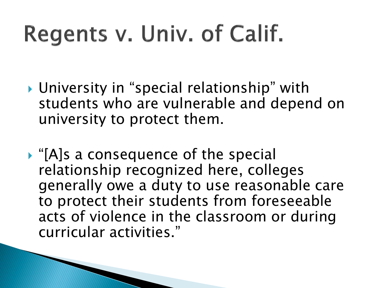# Regents v. Univ. of Calif.

- University in "special relationship" with students who are vulnerable and depend on university to protect them.
- ▶ "[A]s a consequence of the special relationship recognized here, colleges generally owe a duty to use reasonable care to protect their students from foreseeable acts of violence in the classroom or during curricular activities."